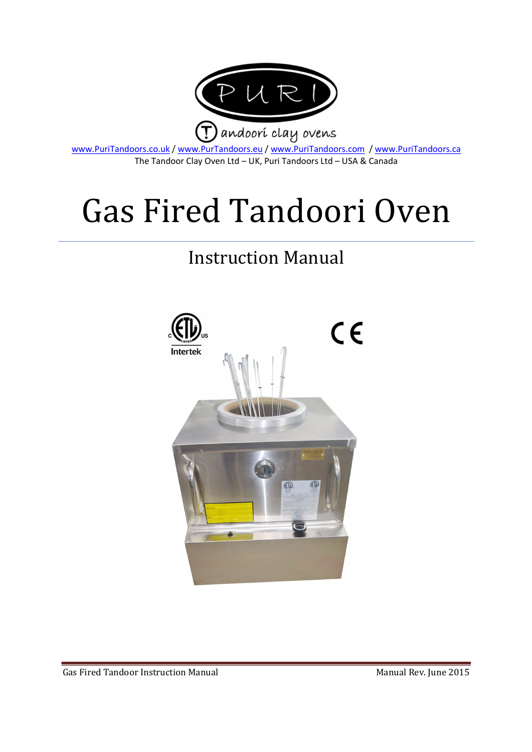

www.PuriTandoors.co.uk / www.PurTandoors.eu / www.PuriTandoors.com / www.PuriTandoors.ca The Tandoor Clay Oven Ltd – UK, Puri Tandoors Ltd – USA & Canada

# Gas Fired Tandoori Oven

# Instruction Manual

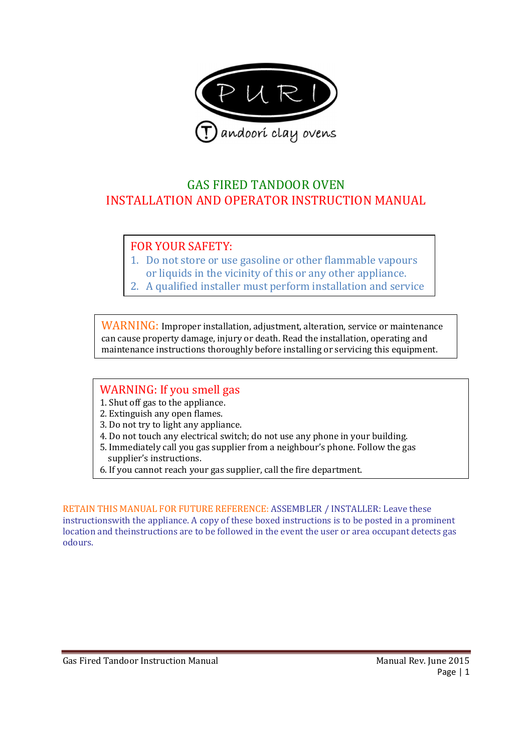

# GAS FIRED TANDOOR OVEN INSTALLATION AND OPERATOR INSTRUCTION MANUAL

# FOR YOUR SAFETY:

- 1. Do not store or use gasoline or other flammable vapours or liquids in the vicinity of this or any other appliance.
- 2. A qualified installer must perform installation and service

WARNING: Improper installation, adjustment, alteration, service or maintenance can cause property damage, injury or death. Read the installation, operating and maintenance instructions thoroughly before installing or servicing this equipment.

#### WARNING: If you smell gas

- 1. Shut off gas to the appliance.
- 2. Extinguish any open flames.
- 3. Do not try to light any appliance.
- 4. Do not touch any electrical switch; do not use any phone in your building.
- 5. Immediately call you gas supplier from a neighbour's phone. Follow the gas supplier's instructions.
- 6. If you cannot reach your gas supplier, call the fire department.

RETAIN THIS MANUAL FOR FUTURE REFERENCE: ASSEMBLER / INSTALLER: Leave these instructionswith the appliance. A copy of these boxed instructions is to be posted in a prominent location and theinstructions are to be followed in the event the user or area occupant detects gas odours.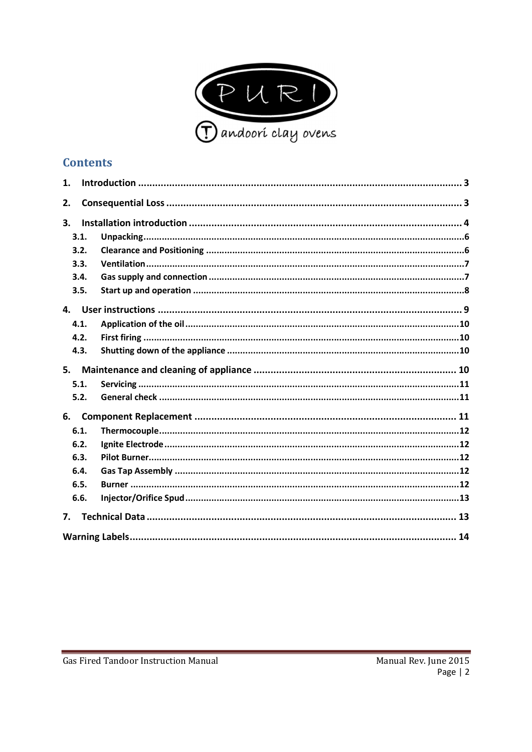

# **Contents**

| 1.   |  |  |  |  |
|------|--|--|--|--|
| 2.   |  |  |  |  |
| 3.   |  |  |  |  |
| 3.1. |  |  |  |  |
| 3.2. |  |  |  |  |
| 3.3. |  |  |  |  |
| 3.4. |  |  |  |  |
| 3.5. |  |  |  |  |
| 4.   |  |  |  |  |
| 4.1. |  |  |  |  |
| 4.2. |  |  |  |  |
| 4.3. |  |  |  |  |
| 5.   |  |  |  |  |
| 5.1. |  |  |  |  |
| 5.2. |  |  |  |  |
| 6.   |  |  |  |  |
| 6.1. |  |  |  |  |
| 6.2. |  |  |  |  |
|      |  |  |  |  |
| 6.3. |  |  |  |  |
| 6.4. |  |  |  |  |
| 6.5. |  |  |  |  |
| 6.6. |  |  |  |  |
| 7.   |  |  |  |  |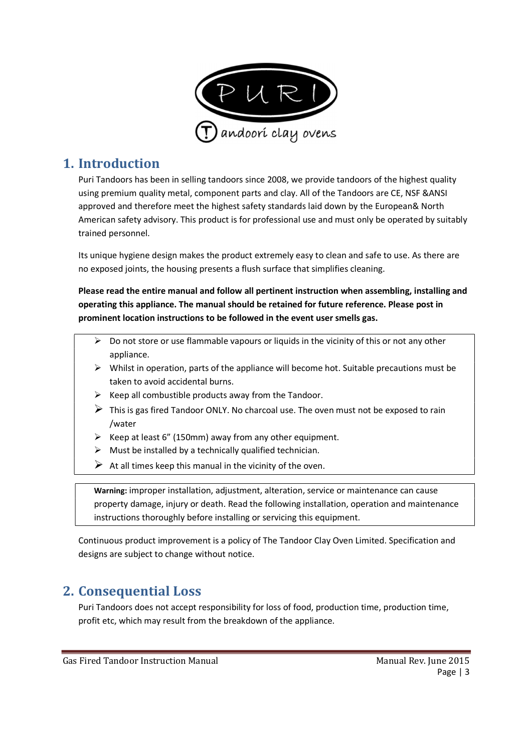

# 1. Introduction

Puri Tandoors has been in selling tandoors since 2008, we provide tandoors of the highest quality using premium quality metal, component parts and clay. All of the Tandoors are CE, NSF &ANSI approved and therefore meet the highest safety standards laid down by the European& North American safety advisory. This product is for professional use and must only be operated by suitably trained personnel.

Its unique hygiene design makes the product extremely easy to clean and safe to use. As there are no exposed joints, the housing presents a flush surface that simplifies cleaning.

Please read the entire manual and follow all pertinent instruction when assembling, installing and operating this appliance. The manual should be retained for future reference. Please post in prominent location instructions to be followed in the event user smells gas.

- $\triangleright$  Do not store or use flammable vapours or liquids in the vicinity of this or not any other appliance.
- $\triangleright$  Whilst in operation, parts of the appliance will become hot. Suitable precautions must be taken to avoid accidental burns.
- $\triangleright$  Keep all combustible products away from the Tandoor.
- $\triangleright$  This is gas fired Tandoor ONLY. No charcoal use. The oven must not be exposed to rain /water
- $\triangleright$  Keep at least 6" (150mm) away from any other equipment.
- $\triangleright$  Must be installed by a technically qualified technician.
- $\triangleright$  At all times keep this manual in the vicinity of the oven.

Warning: improper installation, adjustment, alteration, service or maintenance can cause property damage, injury or death. Read the following installation, operation and maintenance instructions thoroughly before installing or servicing this equipment.

Continuous product improvement is a policy of The Tandoor Clay Oven Limited. Specification and designs are subject to change without notice.

# 2. Consequential Loss

Puri Tandoors does not accept responsibility for loss of food, production time, production time, profit etc, which may result from the breakdown of the appliance.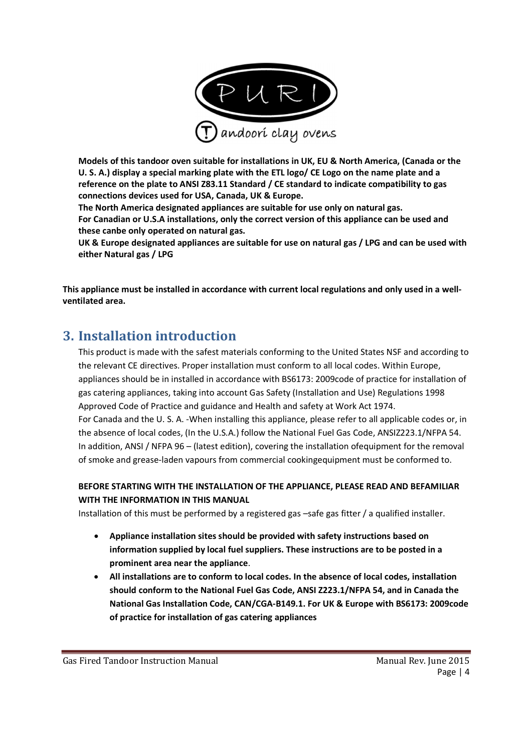

Models of this tandoor oven suitable for installations in UK, EU & North America, (Canada or the U. S. A.) display a special marking plate with the ETL logo/ CE Logo on the name plate and a reference on the plate to ANSI Z83.11 Standard / CE standard to indicate compatibility to gas connections devices used for USA, Canada, UK & Europe.

The North America designated appliances are suitable for use only on natural gas. For Canadian or U.S.A installations, only the correct version of this appliance can be used and these canbe only operated on natural gas.

UK & Europe designated appliances are suitable for use on natural gas / LPG and can be used with either Natural gas / LPG

This appliance must be installed in accordance with current local regulations and only used in a wellventilated area.

# 3. Installation introduction

This product is made with the safest materials conforming to the United States NSF and according to the relevant CE directives. Proper installation must conform to all local codes. Within Europe, appliances should be in installed in accordance with BS6173: 2009code of practice for installation of gas catering appliances, taking into account Gas Safety (Installation and Use) Regulations 1998 Approved Code of Practice and guidance and Health and safety at Work Act 1974. For Canada and the U. S. A. -When installing this appliance, please refer to all applicable codes or, in the absence of local codes, (In the U.S.A.) follow the National Fuel Gas Code, ANSIZ223.1/NFPA 54. In addition, ANSI / NFPA 96 – (latest edition), covering the installation ofequipment for the removal of smoke and grease-laden vapours from commercial cookingequipment must be conformed to.

#### BEFORE STARTING WITH THE INSTALLATION OF THE APPLIANCE, PLEASE READ AND BEFAMILIAR WITH THE INFORMATION IN THIS MANUAL

Installation of this must be performed by a registered gas –safe gas fitter / a qualified installer.

- Appliance installation sites should be provided with safety instructions based on information supplied by local fuel suppliers. These instructions are to be posted in a prominent area near the appliance.
- All installations are to conform to local codes. In the absence of local codes, installation should conform to the National Fuel Gas Code, ANSI Z223.1/NFPA 54, and in Canada the National Gas Installation Code, CAN/CGA-B149.1. For UK & Europe with BS6173: 2009code of practice for installation of gas catering appliances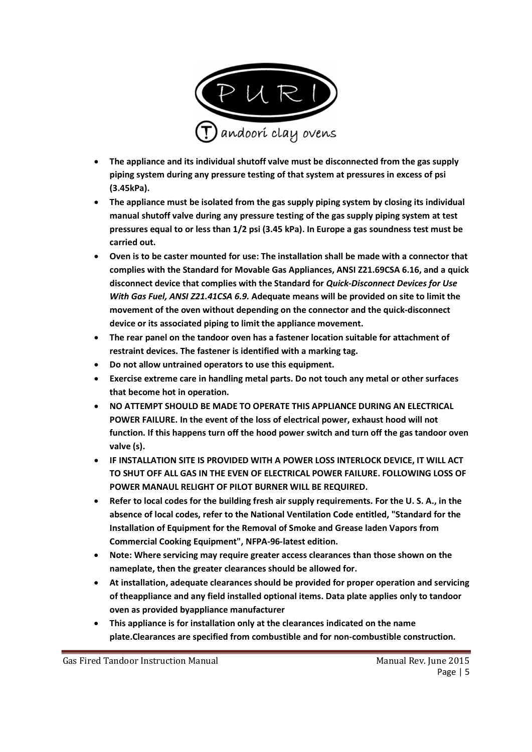

- The appliance and its individual shutoff valve must be disconnected from the gas supply piping system during any pressure testing of that system at pressures in excess of psi (3.45kPa).
- The appliance must be isolated from the gas supply piping system by closing its individual manual shutoff valve during any pressure testing of the gas supply piping system at test pressures equal to or less than 1/2 psi (3.45 kPa). In Europe a gas soundness test must be carried out.
- Oven is to be caster mounted for use: The installation shall be made with a connector that complies with the Standard for Movable Gas Appliances, ANSI Z21.69CSA 6.16, and a quick disconnect device that complies with the Standard for Quick-Disconnect Devices for Use With Gas Fuel, ANSI Z21.41CSA 6.9. Adequate means will be provided on site to limit the movement of the oven without depending on the connector and the quick-disconnect device or its associated piping to limit the appliance movement.
- The rear panel on the tandoor oven has a fastener location suitable for attachment of restraint devices. The fastener is identified with a marking tag.
- Do not allow untrained operators to use this equipment.
- Exercise extreme care in handling metal parts. Do not touch any metal or other surfaces that become hot in operation.
- NO ATTEMPT SHOULD BE MADE TO OPERATE THIS APPLIANCE DURING AN ELECTRICAL POWER FAILURE. In the event of the loss of electrical power, exhaust hood will not function. If this happens turn off the hood power switch and turn off the gas tandoor oven valve (s).
- IF INSTALLATION SITE IS PROVIDED WITH A POWER LOSS INTERLOCK DEVICE, IT WILL ACT TO SHUT OFF ALL GAS IN THE EVEN OF ELECTRICAL POWER FAILURE. FOLLOWING LOSS OF POWER MANAUL RELIGHT OF PILOT BURNER WILL BE REQUIRED.
- Refer to local codes for the building fresh air supply requirements. For the U. S. A., in the absence of local codes, refer to the National Ventilation Code entitled, "Standard for the Installation of Equipment for the Removal of Smoke and Grease laden Vapors from Commercial Cooking Equipment", NFPA-96-latest edition.
- Note: Where servicing may require greater access clearances than those shown on the nameplate, then the greater clearances should be allowed for.
- At installation, adequate clearances should be provided for proper operation and servicing of theappliance and any field installed optional items. Data plate applies only to tandoor oven as provided byappliance manufacturer
- This appliance is for installation only at the clearances indicated on the name plate.Clearances are specified from combustible and for non-combustible construction.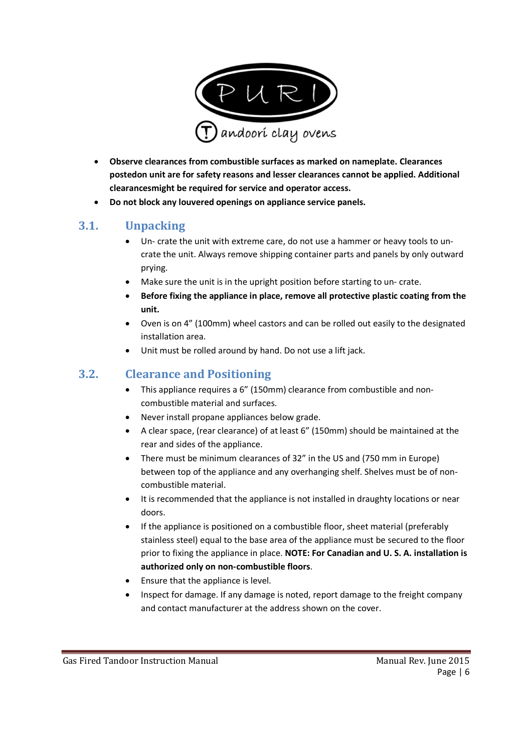

- Observe clearances from combustible surfaces as marked on nameplate. Clearances postedon unit are for safety reasons and lesser clearances cannot be applied. Additional clearancesmight be required for service and operator access.
- Do not block any louvered openings on appliance service panels.

#### 3.1. Unpacking

- Un- crate the unit with extreme care, do not use a hammer or heavy tools to uncrate the unit. Always remove shipping container parts and panels by only outward prying.
- Make sure the unit is in the upright position before starting to un- crate.
- Before fixing the appliance in place, remove all protective plastic coating from the unit.
- Oven is on 4" (100mm) wheel castors and can be rolled out easily to the designated installation area.
- Unit must be rolled around by hand. Do not use a lift jack.

#### 3.2. Clearance and Positioning

- This appliance requires a 6" (150mm) clearance from combustible and noncombustible material and surfaces.
- Never install propane appliances below grade.
- A clear space, (rear clearance) of at least 6" (150mm) should be maintained at the rear and sides of the appliance.
- There must be minimum clearances of 32" in the US and (750 mm in Europe) between top of the appliance and any overhanging shelf. Shelves must be of noncombustible material.
- It is recommended that the appliance is not installed in draughty locations or near doors.
- If the appliance is positioned on a combustible floor, sheet material (preferably stainless steel) equal to the base area of the appliance must be secured to the floor prior to fixing the appliance in place. NOTE: For Canadian and U. S. A. installation is authorized only on non-combustible floors.
- Ensure that the appliance is level.
- Inspect for damage. If any damage is noted, report damage to the freight company and contact manufacturer at the address shown on the cover.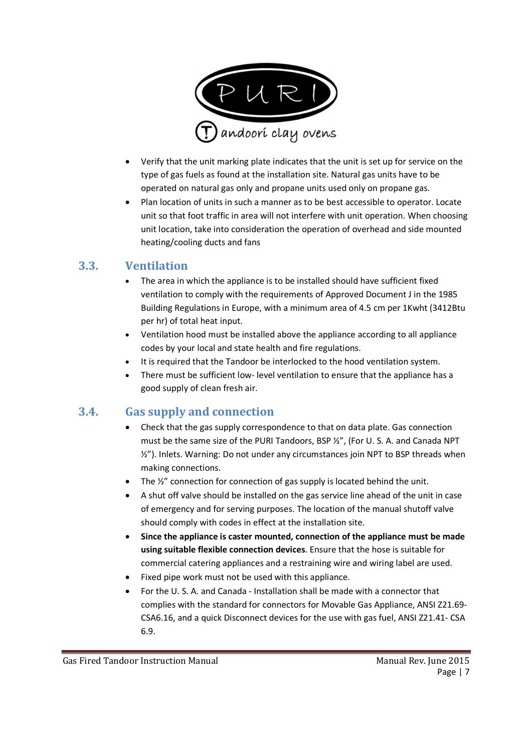

- Verify that the unit marking plate indicates that the unit is set up for service on the type of gas fuels as found at the installation site. Natural gas units have to be operated on natural gas only and propane units used only on propane gas.
- Plan location of units in such a manner as to be best accessible to operator. Locate unit so that foot traffic in area will not interfere with unit operation. When choosing unit location, take into consideration the operation of overhead and side mounted heating/cooling ducts and fans

#### 3.3. Ventilation

- The area in which the appliance is to be installed should have sufficient fixed ventilation to comply with the requirements of Approved Document J in the 1985 Building Regulations in Europe, with a minimum area of 4.5 cm per 1Kwht (3412Btu per hr) of total heat input.
- Ventilation hood must be installed above the appliance according to all appliance codes by your local and state health and fire regulations.
- It is required that the Tandoor be interlocked to the hood ventilation system.
- There must be sufficient low- level ventilation to ensure that the appliance has a good supply of clean fresh air.

#### 3.4. Gas supply and connection

- Check that the gas supply correspondence to that on data plate. Gas connection must be the same size of the PURI Tandoors, BSP ½", (For U. S. A. and Canada NPT ½"). Inlets. Warning: Do not under any circumstances join NPT to BSP threads when making connections.
- The  $\frac{1}{2}$ " connection for connection of gas supply is located behind the unit.
- A shut off valve should be installed on the gas service line ahead of the unit in case of emergency and for serving purposes. The location of the manual shutoff valve should comply with codes in effect at the installation site.
- Since the appliance is caster mounted, connection of the appliance must be made using suitable flexible connection devices. Ensure that the hose is suitable for commercial catering appliances and a restraining wire and wiring label are used.
- Fixed pipe work must not be used with this appliance.
- For the U. S. A. and Canada Installation shall be made with a connector that complies with the standard for connectors for Movable Gas Appliance, ANSI Z21.69- CSA6.16, and a quick Disconnect devices for the use with gas fuel, ANSI Z21.41- CSA 6.9.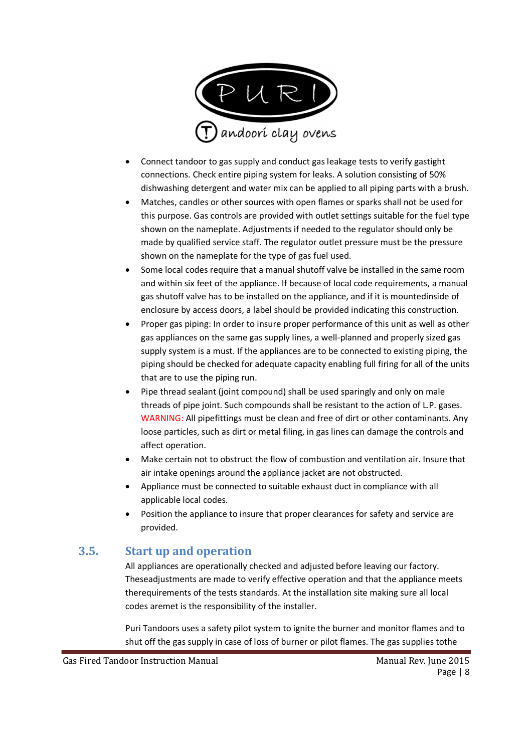

- Connect tandoor to gas supply and conduct gas leakage tests to verify gastight connections. Check entire piping system for leaks. A solution consisting of 50% dishwashing detergent and water mix can be applied to all piping parts with a brush.
- Matches, candles or other sources with open flames or sparks shall not be used for this purpose. Gas controls are provided with outlet settings suitable for the fuel type shown on the nameplate. Adjustments if needed to the regulator should only be made by qualified service staff. The regulator outlet pressure must be the pressure shown on the nameplate for the type of gas fuel used.
- Some local codes require that a manual shutoff valve be installed in the same room and within six feet of the appliance. If because of local code requirements, a manual gas shutoff valve has to be installed on the appliance, and if it is mountedinside of enclosure by access doors, a label should be provided indicating this construction.
- Proper gas piping: In order to insure proper performance of this unit as well as other gas appliances on the same gas supply lines, a well-planned and properly sized gas supply system is a must. If the appliances are to be connected to existing piping, the piping should be checked for adequate capacity enabling full firing for all of the units that are to use the piping run.
- Pipe thread sealant (joint compound) shall be used sparingly and only on male threads of pipe joint. Such compounds shall be resistant to the action of L.P. gases. WARNING: All pipefittings must be clean and free of dirt or other contaminants. Any loose particles, such as dirt or metal filing, in gas lines can damage the controls and affect operation.
- Make certain not to obstruct the flow of combustion and ventilation air. Insure that air intake openings around the appliance jacket are not obstructed.
- Appliance must be connected to suitable exhaust duct in compliance with all applicable local codes.
- Position the appliance to insure that proper clearances for safety and service are provided.

## 3.5. Start up and operation

All appliances are operationally checked and adjusted before leaving our factory. Theseadjustments are made to verify effective operation and that the appliance meets therequirements of the tests standards. At the installation site making sure all local codes aremet is the responsibility of the installer.

Puri Tandoors uses a safety pilot system to ignite the burner and monitor flames and to shut off the gas supply in case of loss of burner or pilot flames. The gas supplies tothe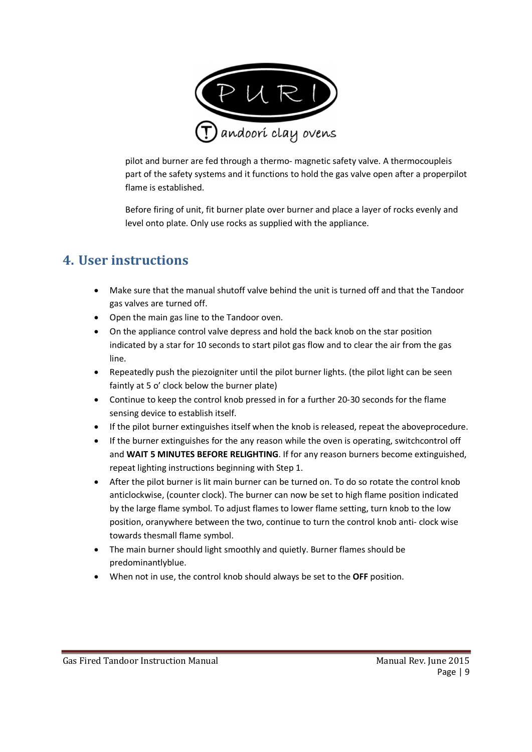

pilot and burner are fed through a thermo- magnetic safety valve. A thermocoupleis part of the safety systems and it functions to hold the gas valve open after a properpilot flame is established.

Before firing of unit, fit burner plate over burner and place a layer of rocks evenly and level onto plate. Only use rocks as supplied with the appliance.

# 4. User instructions

- Make sure that the manual shutoff valve behind the unit is turned off and that the Tandoor gas valves are turned off.
- Open the main gas line to the Tandoor oven.
- On the appliance control valve depress and hold the back knob on the star position indicated by a star for 10 seconds to start pilot gas flow and to clear the air from the gas line.
- Repeatedly push the piezoigniter until the pilot burner lights. (the pilot light can be seen faintly at 5 o' clock below the burner plate)
- Continue to keep the control knob pressed in for a further 20-30 seconds for the flame sensing device to establish itself.
- If the pilot burner extinguishes itself when the knob is released, repeat the aboveprocedure.
- If the burner extinguishes for the any reason while the oven is operating, switchcontrol off and WAIT 5 MINUTES BEFORE RELIGHTING. If for any reason burners become extinguished, repeat lighting instructions beginning with Step 1.
- After the pilot burner is lit main burner can be turned on. To do so rotate the control knob anticlockwise, (counter clock). The burner can now be set to high flame position indicated by the large flame symbol. To adjust flames to lower flame setting, turn knob to the low position, oranywhere between the two, continue to turn the control knob anti- clock wise towards thesmall flame symbol.
- The main burner should light smoothly and quietly. Burner flames should be predominantlyblue.
- When not in use, the control knob should always be set to the OFF position.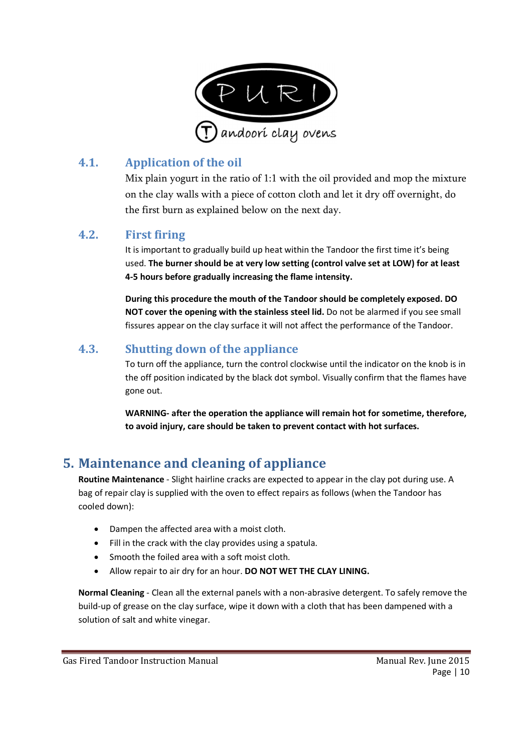

# 4.1. Application of the oil

Mix plain yogurt in the ratio of 1:1 with the oil provided and mop the mixture on the clay walls with a piece of cotton cloth and let it dry off overnight, do the first burn as explained below on the next day.

#### 4.2. First firing

It is important to gradually build up heat within the Tandoor the first time it's being used. The burner should be at very low setting (control valve set at LOW) for at least 4-5 hours before gradually increasing the flame intensity.

During this procedure the mouth of the Tandoor should be completely exposed. DO NOT cover the opening with the stainless steel lid. Do not be alarmed if you see small fissures appear on the clay surface it will not affect the performance of the Tandoor.

# 4.3. Shutting down of the appliance

To turn off the appliance, turn the control clockwise until the indicator on the knob is in the off position indicated by the black dot symbol. Visually confirm that the flames have gone out.

WARNING- after the operation the appliance will remain hot for sometime, therefore, to avoid injury, care should be taken to prevent contact with hot surfaces.

# 5. Maintenance and cleaning of appliance

Routine Maintenance - Slight hairline cracks are expected to appear in the clay pot during use. A bag of repair clay is supplied with the oven to effect repairs as follows (when the Tandoor has cooled down):

- Dampen the affected area with a moist cloth.
- Fill in the crack with the clay provides using a spatula.
- Smooth the foiled area with a soft moist cloth.
- Allow repair to air dry for an hour. DO NOT WET THE CLAY LINING.

Normal Cleaning - Clean all the external panels with a non-abrasive detergent. To safely remove the build-up of grease on the clay surface, wipe it down with a cloth that has been dampened with a solution of salt and white vinegar.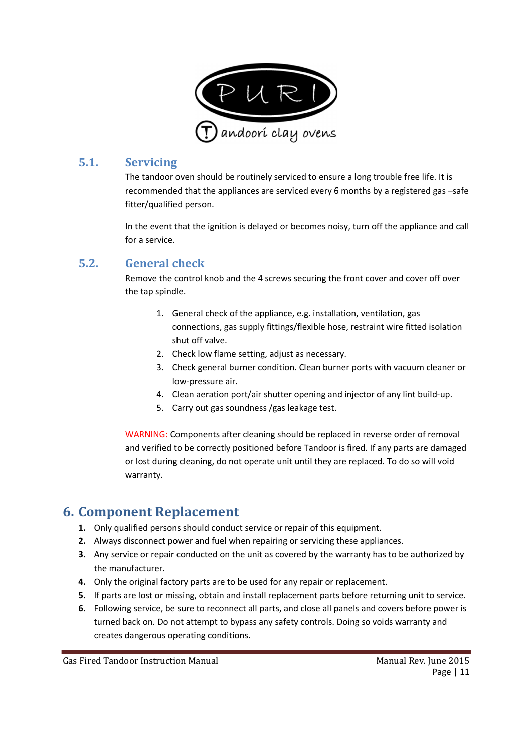

#### 5.1. Servicing

The tandoor oven should be routinely serviced to ensure a long trouble free life. It is recommended that the appliances are serviced every 6 months by a registered gas –safe fitter/qualified person.

In the event that the ignition is delayed or becomes noisy, turn off the appliance and call for a service.

#### 5.2. General check

Remove the control knob and the 4 screws securing the front cover and cover off over the tap spindle.

- 1. General check of the appliance, e.g. installation, ventilation, gas connections, gas supply fittings/flexible hose, restraint wire fitted isolation shut off valve.
- 2. Check low flame setting, adjust as necessary.
- 3. Check general burner condition. Clean burner ports with vacuum cleaner or low-pressure air.
- 4. Clean aeration port/air shutter opening and injector of any lint build-up.
- 5. Carry out gas soundness /gas leakage test.

WARNING: Components after cleaning should be replaced in reverse order of removal and verified to be correctly positioned before Tandoor is fired. If any parts are damaged or lost during cleaning, do not operate unit until they are replaced. To do so will void warranty.

# 6. Component Replacement

- 1. Only qualified persons should conduct service or repair of this equipment.
- 2. Always disconnect power and fuel when repairing or servicing these appliances.
- 3. Any service or repair conducted on the unit as covered by the warranty has to be authorized by the manufacturer.
- 4. Only the original factory parts are to be used for any repair or replacement.
- 5. If parts are lost or missing, obtain and install replacement parts before returning unit to service.
- 6. Following service, be sure to reconnect all parts, and close all panels and covers before power is turned back on. Do not attempt to bypass any safety controls. Doing so voids warranty and creates dangerous operating conditions.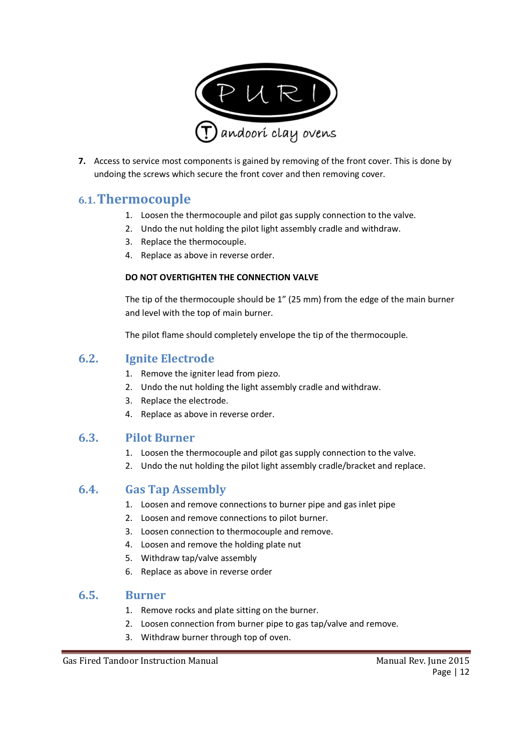

7. Access to service most components is gained by removing of the front cover. This is done by undoing the screws which secure the front cover and then removing cover.

## 6.1.Thermocouple

- 1. Loosen the thermocouple and pilot gas supply connection to the valve.
- 2. Undo the nut holding the pilot light assembly cradle and withdraw.
- 3. Replace the thermocouple.
- 4. Replace as above in reverse order.

#### DO NOT OVERTIGHTEN THE CONNECTION VALVE

The tip of the thermocouple should be 1" (25 mm) from the edge of the main burner and level with the top of main burner.

The pilot flame should completely envelope the tip of the thermocouple.

#### 6.2. Ignite Electrode

- 1. Remove the igniter lead from piezo.
- 2. Undo the nut holding the light assembly cradle and withdraw.
- 3. Replace the electrode.
- 4. Replace as above in reverse order.

#### 6.3. Pilot Burner

- 1. Loosen the thermocouple and pilot gas supply connection to the valve.
- 2. Undo the nut holding the pilot light assembly cradle/bracket and replace.

#### 6.4. Gas Tap Assembly

- 1. Loosen and remove connections to burner pipe and gas inlet pipe
- 2. Loosen and remove connections to pilot burner.
- 3. Loosen connection to thermocouple and remove.
- 4. Loosen and remove the holding plate nut
- 5. Withdraw tap/valve assembly
- 6. Replace as above in reverse order

#### 6.5. Burner

- 1. Remove rocks and plate sitting on the burner.
- 2. Loosen connection from burner pipe to gas tap/valve and remove.
- 3. Withdraw burner through top of oven.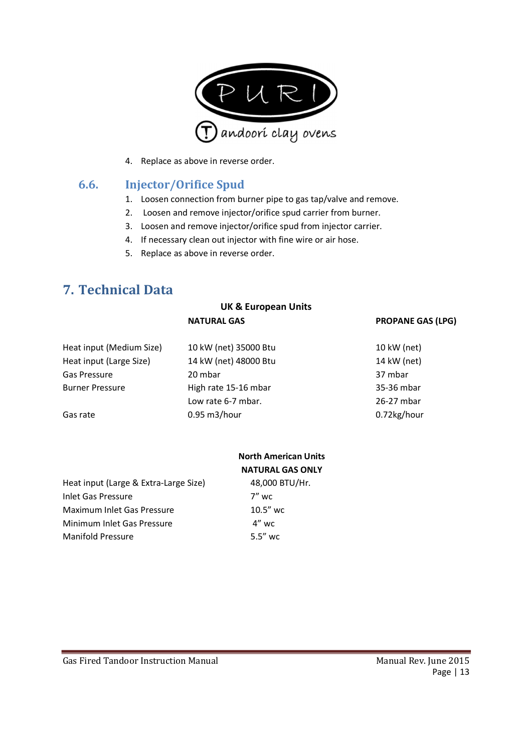

4. Replace as above in reverse order.

#### 6.6. Injector/Orifice Spud

- 1. Loosen connection from burner pipe to gas tap/valve and remove.
- 2. Loosen and remove injector/orifice spud carrier from burner.
- 3. Loosen and remove injector/orifice spud from injector carrier.
- 4. If necessary clean out injector with fine wire or air hose.
- 5. Replace as above in reverse order.

# 7. Technical Data

|                          | <b>UK &amp; European Units</b> |                          |
|--------------------------|--------------------------------|--------------------------|
|                          | <b>NATURAL GAS</b>             | <b>PROPANE GAS (LPG)</b> |
| Heat input (Medium Size) | 10 kW (net) 35000 Btu          | 10 kW (net)              |
| Heat input (Large Size)  | 14 kW (net) 48000 Btu          | 14 kW (net)              |
| Gas Pressure             | 20 mbar                        | 37 mbar                  |
| <b>Burner Pressure</b>   | High rate 15-16 mbar           | 35-36 mbar               |
|                          | Low rate 6-7 mbar.             | 26-27 mbar               |
| Gas rate                 | 0.95 m3/hour                   | 0.72kg/hour              |

|                                       | <b>North American Units</b><br><b>NATURAL GAS ONLY</b> |
|---------------------------------------|--------------------------------------------------------|
| Heat input (Large & Extra-Large Size) | 48,000 BTU/Hr.                                         |
| Inlet Gas Pressure                    | 7" wc                                                  |
| Maximum Inlet Gas Pressure            | $10.5''$ wc                                            |
| Minimum Inlet Gas Pressure            | $4''$ wc                                               |
| <b>Manifold Pressure</b>              | $5.5''$ wc                                             |